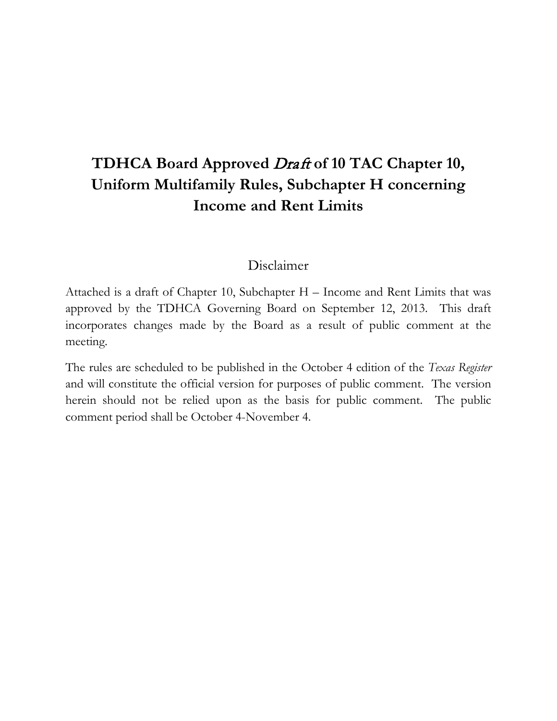# **TDHCA Board Approved** Draft **of 10 TAC Chapter 10, Uniform Multifamily Rules, Subchapter H concerning Income and Rent Limits**

## Disclaimer

Attached is a draft of Chapter 10, Subchapter H – Income and Rent Limits that was approved by the TDHCA Governing Board on September 12, 2013. This draft incorporates changes made by the Board as a result of public comment at the meeting.

The rules are scheduled to be published in the October 4 edition of the *Texas Register* and will constitute the official version for purposes of public comment. The version herein should not be relied upon as the basis for public comment. The public comment period shall be October 4-November 4.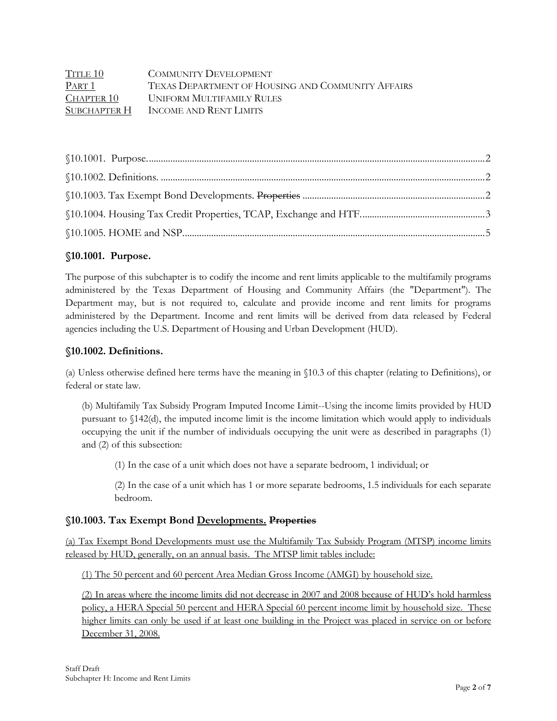| TITLE 10     | <b>COMMUNITY DEVELOPMENT</b>                      |
|--------------|---------------------------------------------------|
| PART 1       | TEXAS DEPARTMENT OF HOUSING AND COMMUNITY AFFAIRS |
| CHAPTER 10   | UNIFORM MULTIFAMILY RULES                         |
| SUBCHAPTER H | INCOME AND RENT LIMITS                            |

#### <span id="page-1-0"></span>**§10.1001. Purpose.**

The purpose of this subchapter is to codify the income and rent limits applicable to the multifamily programs administered by the Texas Department of Housing and Community Affairs (the "Department"). The Department may, but is not required to, calculate and provide income and rent limits for programs administered by the Department. Income and rent limits will be derived from data released by Federal agencies including the U.S. Department of Housing and Urban Development (HUD).

#### <span id="page-1-1"></span>**§10.1002. Definitions.**

(a) Unless otherwise defined here terms have the meaning in §10.3 of this chapter (relating to Definitions), or federal or state law.

(b) Multifamily Tax Subsidy Program Imputed Income Limit--Using the income limits provided by HUD pursuant to §142(d), the imputed income limit is the income limitation which would apply to individuals occupying the unit if the number of individuals occupying the unit were as described in paragraphs (1) and (2) of this subsection:

(1) In the case of a unit which does not have a separate bedroom, 1 individual; or

(2) In the case of a unit which has 1 or more separate bedrooms, 1.5 individuals for each separate bedroom.

#### <span id="page-1-2"></span>**§10.1003. Tax Exempt Bond Developments. Properties**

(a) Tax Exempt Bond Developments must use the Multifamily Tax Subsidy Program (MTSP) income limits released by HUD, generally, on an annual basis. The MTSP limit tables include:

(1) The 50 percent and 60 percent Area Median Gross Income (AMGI) by household size.

(2) In areas where the income limits did not decrease in 2007 and 2008 because of HUD's hold harmless policy, a HERA Special 50 percent and HERA Special 60 percent income limit by household size. These higher limits can only be used if at least one building in the Project was placed in service on or before December 31, 2008.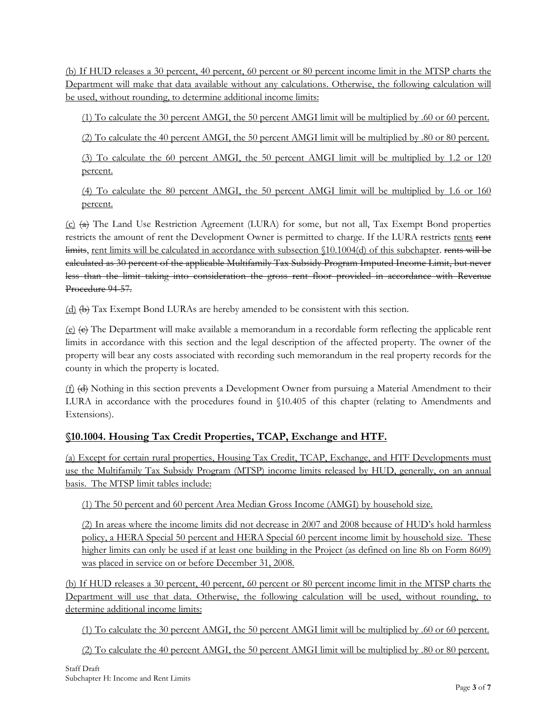(b) If HUD releases a 30 percent, 40 percent, 60 percent or 80 percent income limit in the MTSP charts the Department will make that data available without any calculations. Otherwise, the following calculation will be used, without rounding, to determine additional income limits:

(1) To calculate the 30 percent AMGI, the 50 percent AMGI limit will be multiplied by .60 or 60 percent.

(2) To calculate the 40 percent AMGI, the 50 percent AMGI limit will be multiplied by .80 or 80 percent.

(3) To calculate the 60 percent AMGI, the 50 percent AMGI limit will be multiplied by 1.2 or 120 percent.

(4) To calculate the 80 percent AMGI, the 50 percent AMGI limit will be multiplied by 1.6 or 160 percent.

 $(c)$  (a) The Land Use Restriction Agreement (LURA) for some, but not all, Tax Exempt Bond properties restricts the amount of rent the Development Owner is permitted to charge. If the LURA restricts rents rent limits, rent limits will be calculated in accordance with subsection \$10.1004(d) of this subchapter. rents will be calculated as 30 percent of the applicable Multifamily Tax Subsidy Program Imputed Income Limit, but never less than the limit taking into consideration the gross rent floor provided in accordance with Revenue Procedure 94-57.

 $(d)$   $(\theta)$  Tax Exempt Bond LURAs are hereby amended to be consistent with this section.

 $(e)$   $(e)$  The Department will make available a memorandum in a recordable form reflecting the applicable rent limits in accordance with this section and the legal description of the affected property. The owner of the property will bear any costs associated with recording such memorandum in the real property records for the county in which the property is located.

 $(f)$   $(d)$  Nothing in this section prevents a Development Owner from pursuing a Material Amendment to their LURA in accordance with the procedures found in §10.405 of this chapter (relating to Amendments and Extensions).

### <span id="page-2-0"></span>**§10.1004. Housing Tax Credit Properties, TCAP, Exchange and HTF.**

(a) Except for certain rural properties, Housing Tax Credit, TCAP, Exchange, and HTF Developments must use the Multifamily Tax Subsidy Program (MTSP) income limits released by HUD, generally, on an annual basis. The MTSP limit tables include:

(1) The 50 percent and 60 percent Area Median Gross Income (AMGI) by household size.

(2) In areas where the income limits did not decrease in 2007 and 2008 because of HUD's hold harmless policy, a HERA Special 50 percent and HERA Special 60 percent income limit by household size. These higher limits can only be used if at least one building in the Project (as defined on line 8b on Form 8609) was placed in service on or before December 31, 2008.

(b) If HUD releases a 30 percent, 40 percent, 60 percent or 80 percent income limit in the MTSP charts the Department will use that data. Otherwise, the following calculation will be used, without rounding, to determine additional income limits:

(1) To calculate the 30 percent AMGI, the 50 percent AMGI limit will be multiplied by .60 or 60 percent.

(2) To calculate the 40 percent AMGI, the 50 percent AMGI limit will be multiplied by .80 or 80 percent.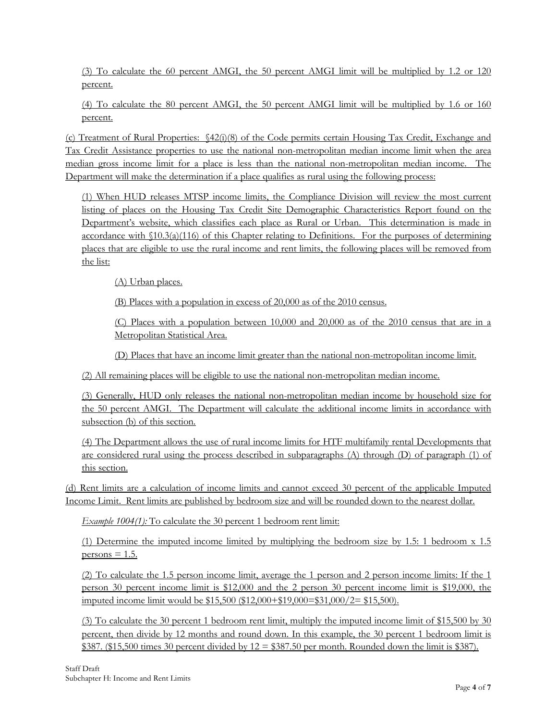(3) To calculate the 60 percent AMGI, the 50 percent AMGI limit will be multiplied by 1.2 or 120 percent.

(4) To calculate the 80 percent AMGI, the 50 percent AMGI limit will be multiplied by 1.6 or 160 percent.

(c) Treatment of Rural Properties: §42(i)(8) of the Code permits certain Housing Tax Credit, Exchange and Tax Credit Assistance properties to use the national non-metropolitan median income limit when the area median gross income limit for a place is less than the national non-metropolitan median income. The Department will make the determination if a place qualifies as rural using the following process:

(1) When HUD releases MTSP income limits, the Compliance Division will review the most current listing of places on the Housing Tax Credit Site Demographic Characteristics Report found on the Department's website, which classifies each place as Rural or Urban. This determination is made in accordance with §10.3(a)(116) of this Chapter relating to Definitions. For the purposes of determining places that are eligible to use the rural income and rent limits, the following places will be removed from the list:

(A) Urban places.

(B) Places with a population in excess of 20,000 as of the 2010 census.

(C) Places with a population between 10,000 and 20,000 as of the 2010 census that are in a Metropolitan Statistical Area.

(D) Places that have an income limit greater than the national non-metropolitan income limit.

(2) All remaining places will be eligible to use the national non-metropolitan median income.

(3) Generally, HUD only releases the national non-metropolitan median income by household size for the 50 percent AMGI. The Department will calculate the additional income limits in accordance with subsection (b) of this section.

(4) The Department allows the use of rural income limits for HTF multifamily rental Developments that are considered rural using the process described in subparagraphs  $(A)$  through  $(D)$  of paragraph  $(1)$  of this section.

(d) Rent limits are a calculation of income limits and cannot exceed 30 percent of the applicable Imputed Income Limit. Rent limits are published by bedroom size and will be rounded down to the nearest dollar.

*Example 1004(1):* To calculate the 30 percent 1 bedroom rent limit:

(1) Determine the imputed income limited by multiplying the bedroom size by 1.5: 1 bedroom x 1.5  $persons = 1.5.$ 

(2) To calculate the 1.5 person income limit, average the 1 person and 2 person income limits: If the 1 person 30 percent income limit is \$12,000 and the 2 person 30 percent income limit is \$19,000, the imputed income limit would be \$15,500 (\$12,000+\$19,000=\$31,000/2= \$15,500).

(3) To calculate the 30 percent 1 bedroom rent limit, multiply the imputed income limit of \$15,500 by 30 percent, then divide by 12 months and round down. In this example, the 30 percent 1 bedroom limit is \$387. (\$15,500 times 30 percent divided by  $12 = $387.50$  per month. Rounded down the limit is \$387).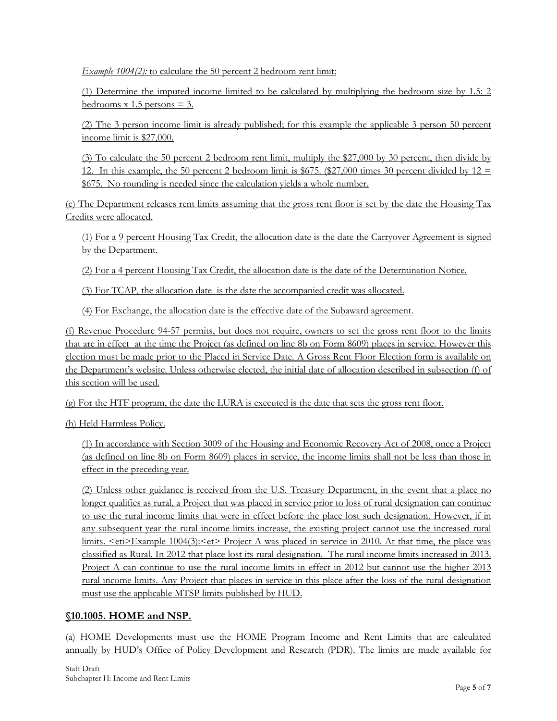*Example 1004(2):* to calculate the 50 percent 2 bedroom rent limit:

(1) Determine the imputed income limited to be calculated by multiplying the bedroom size by 1.5: 2 bedrooms x 1.5 persons  $=$  3.

(2) The 3 person income limit is already published; for this example the applicable 3 person 50 percent income limit is \$27,000.

(3) To calculate the 50 percent 2 bedroom rent limit, multiply the \$27,000 by 30 percent, then divide by 12. In this example, the 50 percent 2 bedroom limit is \$675. (\$27,000 times 30 percent divided by 12  $\equiv$ \$675. No rounding is needed since the calculation yields a whole number.

(e) The Department releases rent limits assuming that the gross rent floor is set by the date the Housing Tax Credits were allocated.

(1) For a 9 percent Housing Tax Credit, the allocation date is the date the Carryover Agreement is signed by the Department.

(2) For a 4 percent Housing Tax Credit, the allocation date is the date of the Determination Notice.

(3) For TCAP, the allocation date is the date the accompanied credit was allocated.

(4) For Exchange, the allocation date is the effective date of the Subaward agreement.

(f) Revenue Procedure 94-57 permits, but does not require, owners to set the gross rent floor to the limits that are in effect at the time the Project (as defined on line 8b on Form 8609) places in service. However this election must be made prior to the Placed in Service Date. A Gross Rent Floor Election form is available on the Department's website. Unless otherwise elected, the initial date of allocation described in subsection (f) of this section will be used.

(g) For the HTF program, the date the LURA is executed is the date that sets the gross rent floor.

(h) Held Harmless Policy.

(1) In accordance with Section 3009 of the Housing and Economic Recovery Act of 2008, once a Project (as defined on line 8b on Form 8609) places in service, the income limits shall not be less than those in effect in the preceding year.

(2) Unless other guidance is received from the U.S. Treasury Department, in the event that a place no longer qualifies as rural, a Project that was placed in service prior to loss of rural designation can continue to use the rural income limits that were in effect before the place lost such designation. However, if in any subsequent year the rural income limits increase, the existing project cannot use the increased rural limits. <eti>Example 1004(3):<et> Project A was placed in service in 2010. At that time, the place was classified as Rural. In 2012 that place lost its rural designation. The rural income limits increased in 2013. Project A can continue to use the rural income limits in effect in 2012 but cannot use the higher 2013 rural income limits. Any Project that places in service in this place after the loss of the rural designation must use the applicable MTSP limits published by HUD.

#### <span id="page-4-0"></span>**§10.1005. HOME and NSP.**

(a) HOME Developments must use the HOME Program Income and Rent Limits that are calculated annually by HUD's Office of Policy Development and Research (PDR). The limits are made available for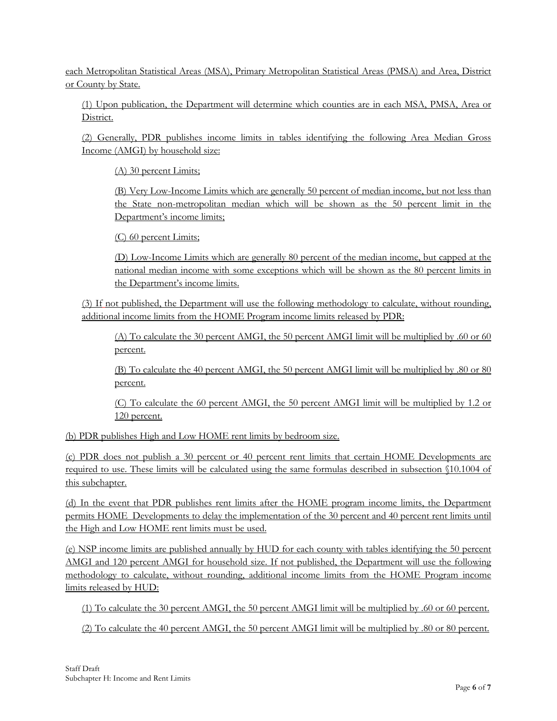each Metropolitan Statistical Areas (MSA), Primary Metropolitan Statistical Areas (PMSA) and Area, District or County by State.

(1) Upon publication, the Department will determine which counties are in each MSA, PMSA, Area or District.

(2) Generally, PDR publishes income limits in tables identifying the following Area Median Gross Income (AMGI) by household size:

(A) 30 percent Limits;

(B) Very Low-Income Limits which are generally 50 percent of median income, but not less than the State non-metropolitan median which will be shown as the 50 percent limit in the Department's income limits;

(C) 60 percent Limits;

(D) Low-Income Limits which are generally 80 percent of the median income, but capped at the national median income with some exceptions which will be shown as the 80 percent limits in the Department's income limits.

(3) If not published, the Department will use the following methodology to calculate, without rounding, additional income limits from the HOME Program income limits released by PDR:

(A) To calculate the 30 percent AMGI, the 50 percent AMGI limit will be multiplied by .60 or 60 percent.

(B) To calculate the 40 percent AMGI, the 50 percent AMGI limit will be multiplied by .80 or 80 percent.

(C) To calculate the 60 percent AMGI, the 50 percent AMGI limit will be multiplied by 1.2 or 120 percent.

(b) PDR publishes High and Low HOME rent limits by bedroom size.

(c) PDR does not publish a 30 percent or 40 percent rent limits that certain HOME Developments are required to use. These limits will be calculated using the same formulas described in subsection §10.1004 of this subchapter.

(d) In the event that PDR publishes rent limits after the HOME program income limits, the Department permits HOME Developments to delay the implementation of the 30 percent and 40 percent rent limits until the High and Low HOME rent limits must be used.

(e) NSP income limits are published annually by HUD for each county with tables identifying the 50 percent AMGI and 120 percent AMGI for household size. If not published, the Department will use the following methodology to calculate, without rounding, additional income limits from the HOME Program income limits released by HUD:

(1) To calculate the 30 percent AMGI, the 50 percent AMGI limit will be multiplied by .60 or 60 percent.

(2) To calculate the 40 percent AMGI, the 50 percent AMGI limit will be multiplied by .80 or 80 percent.